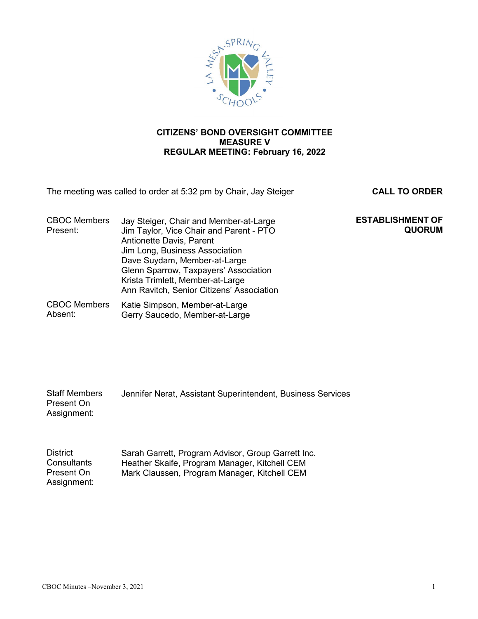

# **CITIZENS' BOND OVERSIGHT COMMITTEE MEASURE V REGULAR MEETING: February 16, 2022**

The meeting was called to order at 5:32 pm by Chair, Jay Steiger **CALL TO ORDER**

**QUORUM**

**ESTABLISHMENT OF**

| <b>CBOC Members</b><br>Present: | Jay Steiger, Chair and Member-at-Large<br>Jim Taylor, Vice Chair and Parent - PTO<br>Antionette Davis, Parent<br>Jim Long, Business Association<br>Dave Suydam, Member-at-Large<br>Glenn Sparrow, Taxpayers' Association<br>Krista Trimlett, Member-at-Large<br>Ann Ravitch, Senior Citizens' Association |
|---------------------------------|-----------------------------------------------------------------------------------------------------------------------------------------------------------------------------------------------------------------------------------------------------------------------------------------------------------|
| <b>CBOC Members</b>             | Katie Simpson, Member-at-Large                                                                                                                                                                                                                                                                            |

Absent: Gerry Saucedo, Member-at-Large

| <b>Staff Members</b> | Jennifer Nerat, Assistant Superintendent, Business Services |
|----------------------|-------------------------------------------------------------|
| Present On           |                                                             |
| Assignment:          |                                                             |

| <b>District</b> | Sarah Garrett, Program Advisor, Group Garrett Inc. |
|-----------------|----------------------------------------------------|
| Consultants     | Heather Skaife, Program Manager, Kitchell CEM      |
| Present On      | Mark Claussen, Program Manager, Kitchell CEM       |
| Assignment:     |                                                    |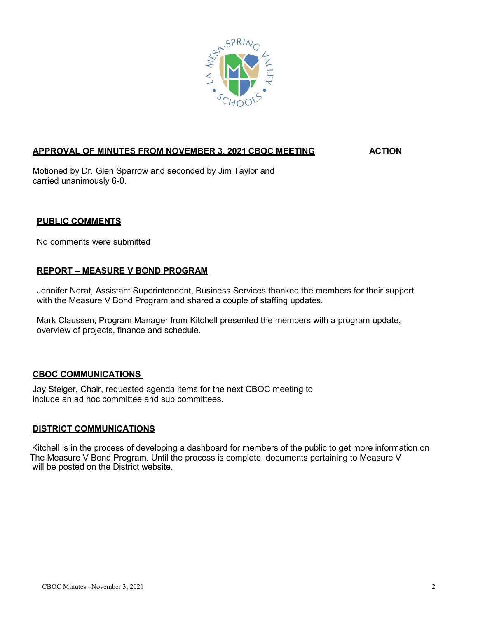

# **APPROVAL OF MINUTES FROM NOVEMBER 3, 2021 CBOC MEETING ACTION**

Motioned by Dr. Glen Sparrow and seconded by Jim Taylor and carried unanimously 6-0.

## **PUBLIC COMMENTS**

No comments were submitted

### **REPORT – MEASURE V BOND PROGRAM**

Jennifer Nerat, Assistant Superintendent, Business Services thanked the members for their support with the Measure V Bond Program and shared a couple of staffing updates.

Mark Claussen, Program Manager from Kitchell presented the members with a program update, overview of projects, finance and schedule.

### **CBOC COMMUNICATIONS**

Jay Steiger, Chair, requested agenda items for the next CBOC meeting to include an ad hoc committee and sub committees.

### **DISTRICT COMMUNICATIONS**

 Kitchell is in the process of developing a dashboard for members of the public to get more information on The Measure V Bond Program. Until the process is complete, documents pertaining to Measure V will be posted on the District website.